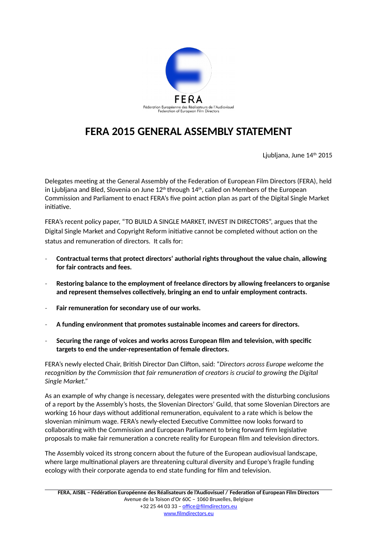

## **FERA 2015 GENERAL ASSEMBLY STATEMENT**

Ljubljana, June 14<sup>th</sup> 2015

Delegates meeting at the General Assembly of the Federation of European Film Directors (FERA), held in Ljubljana and Bled, Slovenia on June  $12<sup>th</sup>$  through  $14<sup>th</sup>$ , called on Members of the European Commission and Parliament to enact FERA's five point action plan as part of the Digital Single Market initiative.

FERA's recent policy paper, "TO BUILD A SINGLE MARKET, INVEST IN DIRECTORS", argues that the Digital Single Market and Copyright Reform initiative cannot be completed without action on the status and remuneration of directors. It calls for:

- **Contractual terms that protect directors' authorial rights throughout the value chain, allowing for fair contracts and fees.**
- **Restoring balance to the employment of freelance directors by allowing freelancers to organise and represent themselves collectively, bringing an end to unfair employment contracts.**
- **Fair remuneration for secondary use of our works.**
- **A funding environment that promotes sustainable incomes and careers for directors.**
- **Securing the range of voices and works across European film and television, with specific targets to end the under-representation of female directors.**

FERA's newly elected Chair, British Director Dan Clifton, said: "*Directors across Europe welcome the recognition by the Commission that fair remuneration of creators is crucial to growing the Digital Single Market."*

As an example of why change is necessary, delegates were presented with the disturbing conclusions of a report by the Assembly's hosts, the Slovenian Directors' Guild, that some Slovenian Directors are working 16 hour days without additional remuneration, equivalent to a rate which is below the slovenian minimum wage. FERA's newly-elected Executive Committee now looks forward to collaborating with the Commission and European Parliament to bring forward firm legislative proposals to make fair remuneration a concrete reality for European film and television directors.

The Assembly voiced its strong concern about the future of the European audiovisual landscape, where large multinational players are threatening cultural diversity and Europe's fragile funding ecology with their corporate agenda to end state funding for film and television.